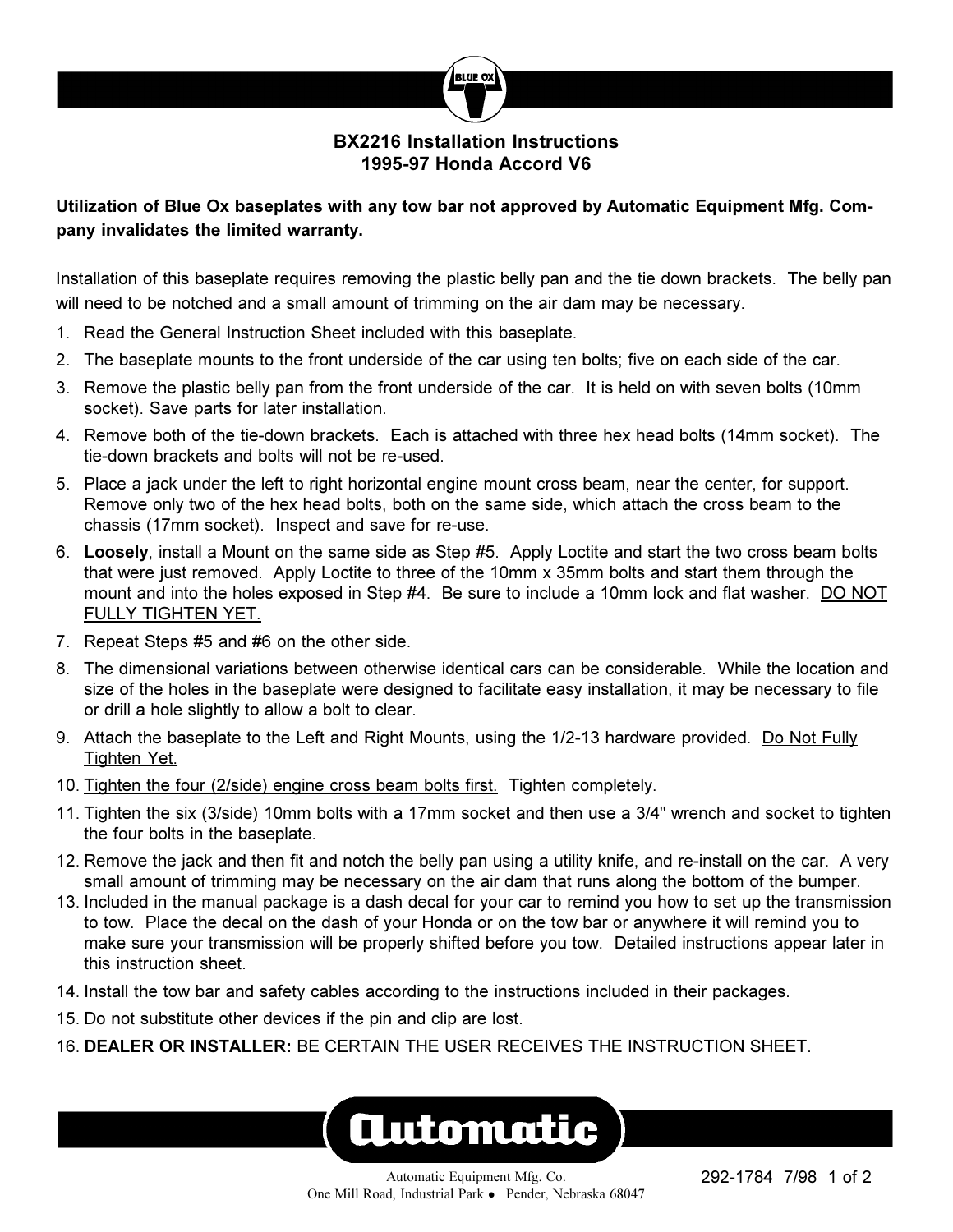

## **BX2216 Installation Instructions 1995-97 Honda Accord V6**

# **Utilization of Blue Ox baseplates with any tow bar not approved by Automatic Equipment Mfg. Company invalidates the limited warranty.**

Installation of this baseplate requires removing the plastic belly pan and the tie down brackets. The belly pan will need to be notched and a small amount of trimming on the air dam may be necessary.

- 1. Read the General Instruction Sheet included with this baseplate.
- 2. The baseplate mounts to the front underside of the car using ten bolts; five on each side of the car.
- 3. Remove the plastic belly pan from the front underside of the car. It is held on with seven bolts (10mm socket). Save parts for later installation.
- 4. Remove both of the tie-down brackets. Each is attached with three hex head bolts (14mm socket). The tie-down brackets and bolts will not be re-used.
- 5. Place a jack under the left to right horizontal engine mount cross beam, near the center, for support. Remove only two of the hex head bolts, both on the same side, which attach the cross beam to the chassis (17mm socket). Inspect and save for re-use.
- 6. **Loosely**, install a Mount on the same side as Step #5. Apply Loctite and start the two cross beam bolts that were just removed. Apply Loctite to three of the 10mm x 35mm bolts and start them through the mount and into the holes exposed in Step #4. Be sure to include a 10mm lock and flat washer. DO NOT FULLY TIGHTEN YET.
- 7. Repeat Steps #5 and #6 on the other side.
- 8. The dimensional variations between otherwise identical cars can be considerable. While the location and size of the holes in the baseplate were designed to facilitate easy installation, it may be necessary to file or drill a hole slightly to allow a bolt to clear.
- 9. Attach the baseplate to the Left and Right Mounts, using the 1/2-13 hardware provided. Do Not Fully Tighten Yet.
- 10. Tighten the four (2/side) engine cross beam bolts first. Tighten completely.
- 11. Tighten the six (3/side) 10mm bolts with a 17mm socket and then use a 3/4" wrench and socket to tighten the four bolts in the baseplate.
- 12. Remove the jack and then fit and notch the belly pan using a utility knife, and re-install on the car. A very small amount of trimming may be necessary on the air dam that runs along the bottom of the bumper.
- 13. Included in the manual package is a dash decal for your car to remind you how to set up the transmission to tow. Place the decal on the dash of your Honda or on the tow bar or anywhere it will remind you to make sure your transmission will be properly shifted before you tow. Detailed instructions appear later in this instruction sheet.
- 14. Install the tow bar and safety cables according to the instructions included in their packages.
- 15. Do not substitute other devices if the pin and clip are lost.
- 16. **DEALER OR INSTALLER:** BE CERTAIN THE USER RECEIVES THE INSTRUCTION SHEET.

# **Automatic**